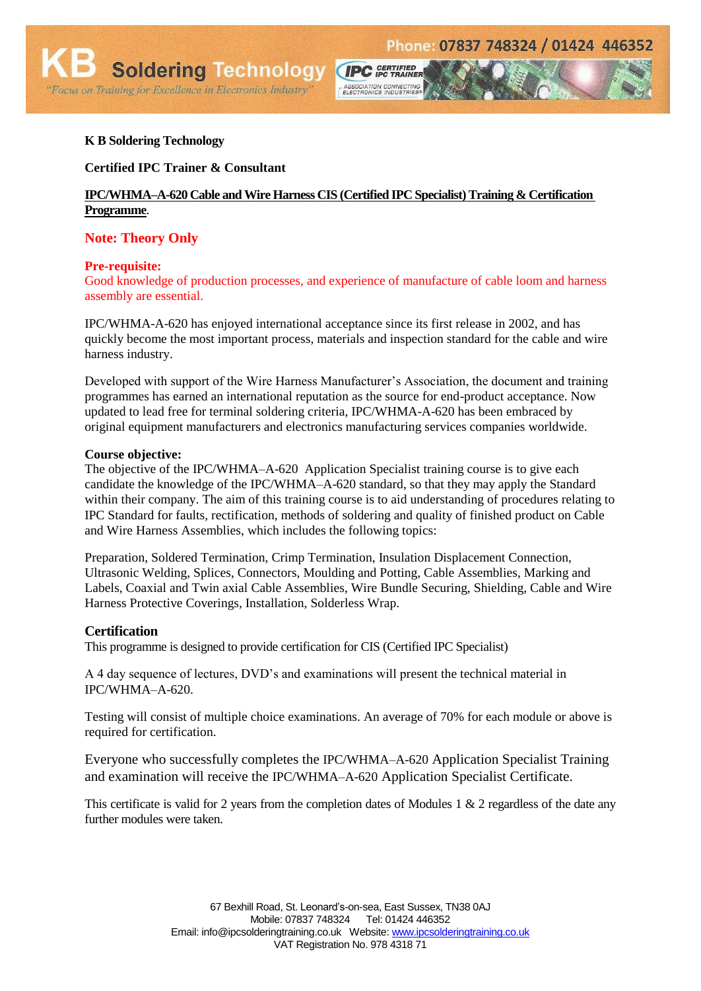### **K B Soldering Technology**

**Certified IPC Trainer & Consultant**

### **IPC/WHMA–A-620 Cable and Wire Harness CIS (Certified IPC Specialist) Training & Certification Programme**.

**CIPC** GERTIFIED

ASSOCIATION CONNECTING<br>ELECTRONICS INDUSTRIES®

### **Note: Theory Only**

#### **Pre-requisite:**

Good knowledge of production processes, and experience of manufacture of cable loom and harness assembly are essential.

IPC/WHMA-A-620 has enjoyed international acceptance since its first release in 2002, and has quickly become the most important process, materials and inspection standard for the cable and wire harness industry.

Developed with support of the Wire Harness Manufacturer's Association, the document and training programmes has earned an international reputation as the source for end-product acceptance. Now updated to lead free for terminal soldering criteria, IPC/WHMA-A-620 has been embraced by original equipment manufacturers and electronics manufacturing services companies worldwide.

#### **Course objective:**

The objective of the IPC/WHMA–A-620 Application Specialist training course is to give each candidate the knowledge of the IPC/WHMA–A-620 standard, so that they may apply the Standard within their company. The aim of this training course is to aid understanding of procedures relating to IPC Standard for faults, rectification, methods of soldering and quality of finished product on Cable and Wire Harness Assemblies, which includes the following topics:

Preparation, Soldered Termination, Crimp Termination, Insulation Displacement Connection, Ultrasonic Welding, Splices, Connectors, Moulding and Potting, Cable Assemblies, Marking and Labels, Coaxial and Twin axial Cable Assemblies, Wire Bundle Securing, Shielding, Cable and Wire Harness Protective Coverings, Installation, Solderless Wrap.

### **Certification**

This programme is designed to provide certification for CIS (Certified IPC Specialist)

A 4 day sequence of lectures, DVD's and examinations will present the technical material in IPC/WHMA–A-620.

Testing will consist of multiple choice examinations. An average of 70% for each module or above is required for certification.

Everyone who successfully completes the IPC/WHMA–A-620 Application Specialist Training and examination will receive the IPC/WHMA–A-620 Application Specialist Certificate.

This certificate is valid for 2 years from the completion dates of Modules 1 & 2 regardless of the date any further modules were taken.